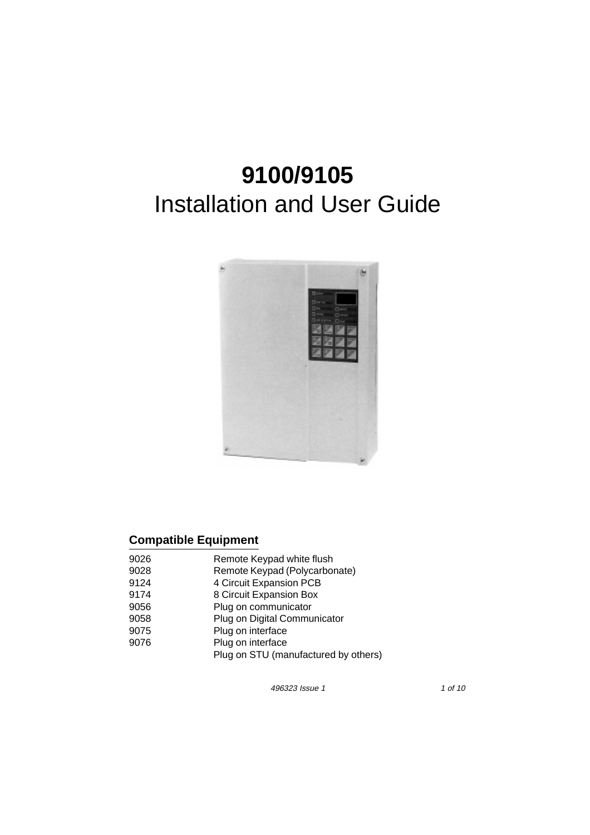# **9100/9105**  Installation and User Guide



## **Compatible Equipment**

| 9026 | Remote Keypad white flush            |
|------|--------------------------------------|
| 9028 | Remote Keypad (Polycarbonate)        |
| 9124 | 4 Circuit Expansion PCB              |
| 9174 | 8 Circuit Expansion Box              |
| 9056 | Plug on communicator                 |
| 9058 | Plug on Digital Communicator         |
| 9075 | Plug on interface                    |
| 9076 | Plug on interface                    |
|      | Plug on STU (manufactured by others) |

496323 Issue 1 1 of 10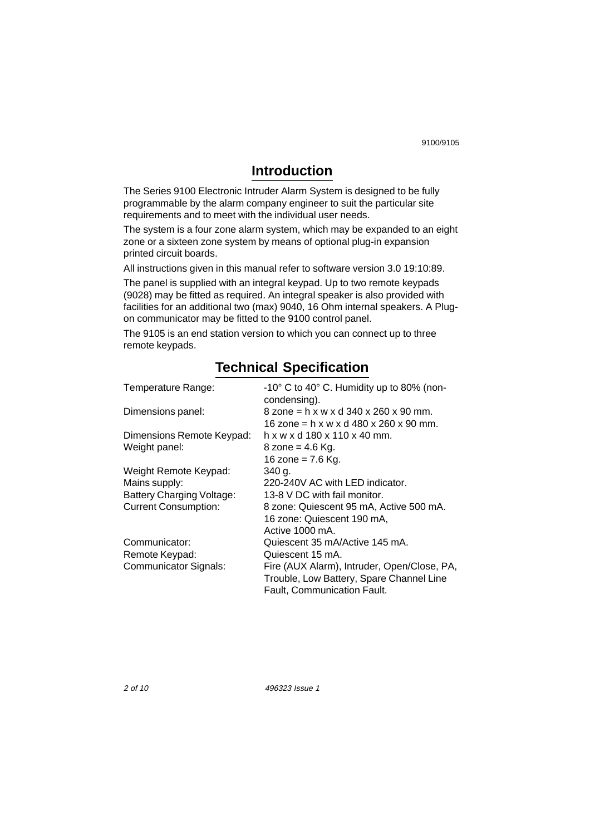9100/9105

## **Introduction**

The Series 9100 Electronic Intruder Alarm System is designed to be fully programmable by the alarm company engineer to suit the particular site requirements and to meet with the individual user needs.

The system is a four zone alarm system, which may be expanded to an eight zone or a sixteen zone system by means of optional plug-in expansion printed circuit boards.

All instructions given in this manual refer to software version 3.0 19:10:89.

The panel is supplied with an integral keypad. Up to two remote keypads (9028) may be fitted as required. An integral speaker is also provided with facilities for an additional two (max) 9040, 16 Ohm internal speakers. A Plugon communicator may be fitted to the 9100 control panel.

The 9105 is an end station version to which you can connect up to three remote keypads.

| Temperature Range:               | -10° C to 40° C. Humidity up to 80% (non-<br>condensing). |
|----------------------------------|-----------------------------------------------------------|
| Dimensions panel:                | $8$ zone = h x w x d 340 x 260 x 90 mm.                   |
|                                  | 16 zone = h x w x d 480 x 260 x 90 mm.                    |
| Dimensions Remote Keypad:        | h x w x d 180 x 110 x 40 mm.                              |
| Weight panel:                    | 8 zone = $4.6$ Kg.                                        |
|                                  | 16 zone = $7.6$ Kg.                                       |
| Weight Remote Keypad:            | 340 g.                                                    |
| Mains supply:                    | 220-240V AC with LED indicator.                           |
| <b>Battery Charging Voltage:</b> | 13-8 V DC with fail monitor.                              |
| <b>Current Consumption:</b>      | 8 zone: Quiescent 95 mA, Active 500 mA.                   |
|                                  | 16 zone: Quiescent 190 mA,                                |
|                                  | Active 1000 mA.                                           |
| Communicator:                    | Quiescent 35 mA/Active 145 mA.                            |
| Remote Keypad:                   | Quiescent 15 mA.                                          |
| <b>Communicator Signals:</b>     | Fire (AUX Alarm), Intruder, Open/Close, PA,               |
|                                  | Trouble, Low Battery, Spare Channel Line                  |
|                                  | <b>Fault, Communication Fault.</b>                        |

## **Technical Specification**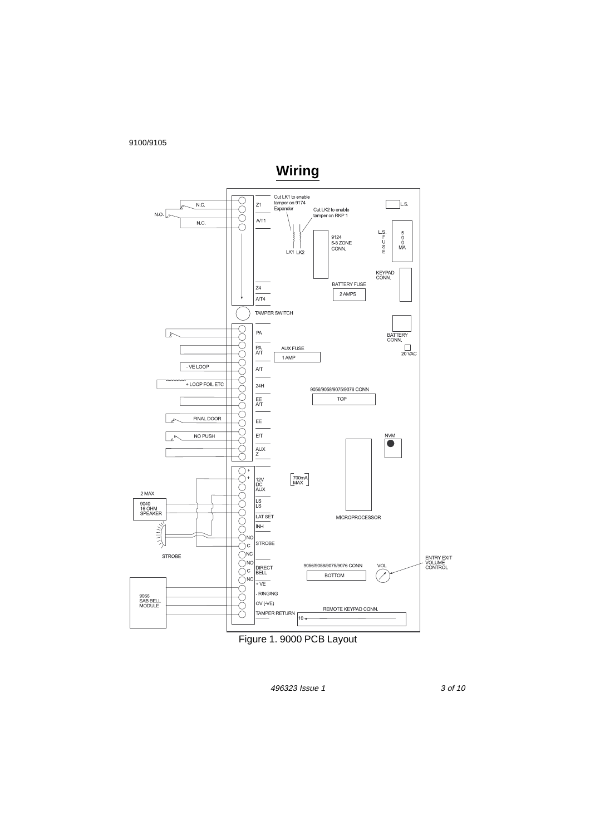9100/9105



Figure 1. 9000 PCB Layout

496323 Issue 1 3 of 10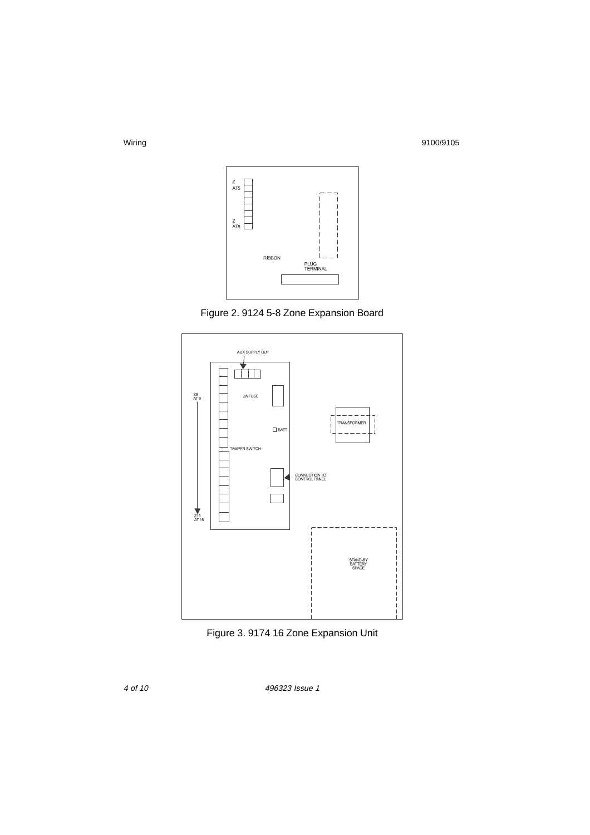Wiring 9100/9105



Figure 2. 9124 5-8 Zone Expansion Board



Figure 3. 9174 16 Zone Expansion Unit

4 of 10

496323 Issue 1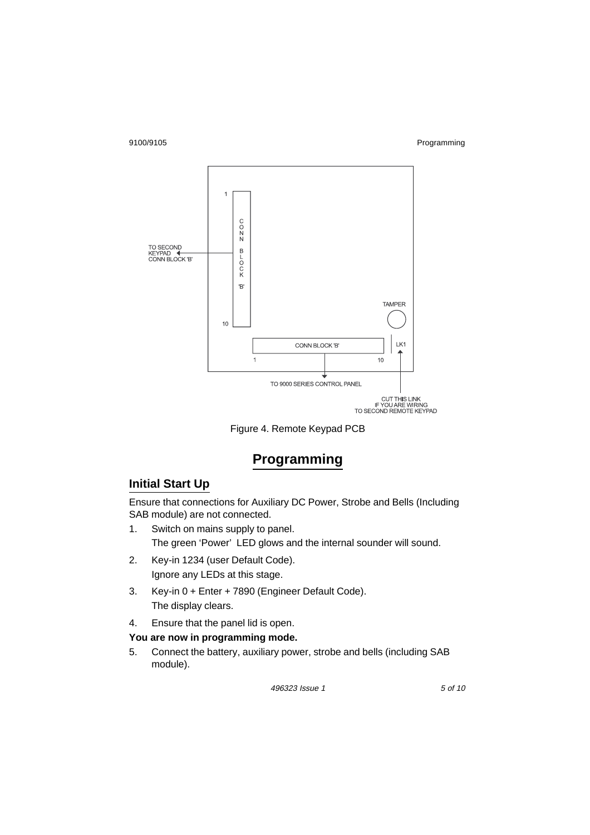#### 9100/9105 Programming



Figure 4. Remote Keypad PCB

## **Programming**

### **Initial Start Up**

Ensure that connections for Auxiliary DC Power, Strobe and Bells (Including SAB module) are not connected.

- 1. Switch on mains supply to panel. The green 'Power' LED glows and the internal sounder will sound.
- 2. Key-in 1234 (user Default Code). Ignore any LEDs at this stage.
- 3. Key-in 0 + Enter + 7890 (Engineer Default Code). The display clears.
- 4. Ensure that the panel lid is open.

#### **You are now in programming mode.**

5. Connect the battery, auxiliary power, strobe and bells (including SAB module).

496323 Issue 1 5 of 10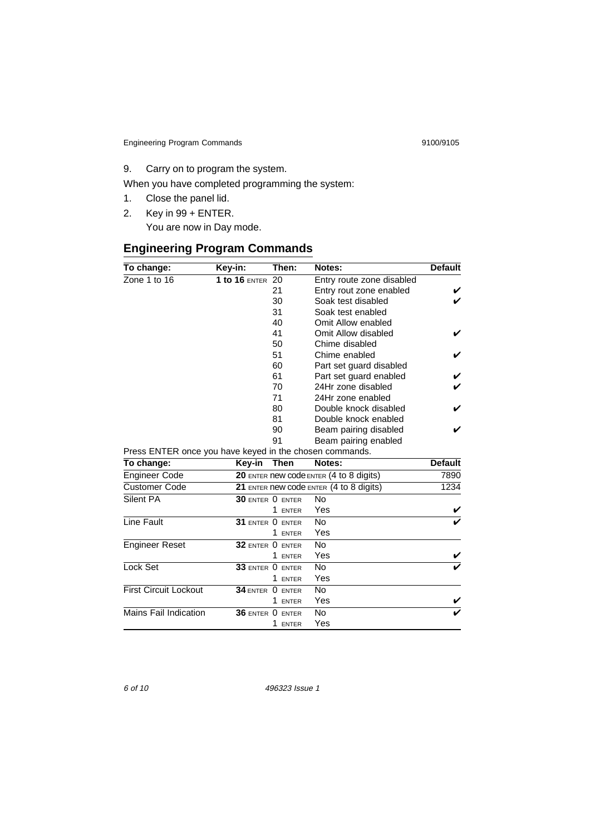Engineering Program Commands 9100/9105

9. Carry on to program the system.

When you have completed programming the system:

- 1. Close the panel lid.
- 2. Key in 99 + ENTER.

You are now in Day mode.

## **Engineering Program Commands**

| To change:                                              | Key-in:                 | Then:       | Notes:                                  | <b>Default</b> |
|---------------------------------------------------------|-------------------------|-------------|-----------------------------------------|----------------|
| Zone 1 to 16                                            | <b>1 to 16 ENTER 20</b> |             | Entry route zone disabled               |                |
|                                                         |                         | 21          | Entry rout zone enabled                 |                |
|                                                         |                         | 30          | Soak test disabled                      |                |
|                                                         |                         | 31          | Soak test enabled                       |                |
|                                                         |                         | 40          | Omit Allow enabled                      |                |
|                                                         |                         | 41          | Omit Allow disabled                     |                |
|                                                         |                         | 50          | Chime disabled                          |                |
|                                                         |                         | 51          | Chime enabled                           |                |
|                                                         |                         | 60          | Part set guard disabled                 |                |
|                                                         |                         | 61          | Part set guard enabled                  |                |
|                                                         |                         | 70          | 24Hr zone disabled                      |                |
|                                                         |                         | 71          | 24Hr zone enabled                       |                |
|                                                         |                         | 80          | Double knock disabled                   |                |
|                                                         |                         | 81          | Double knock enabled                    |                |
|                                                         |                         | 90          | Beam pairing disabled                   |                |
|                                                         |                         | 91          | Beam pairing enabled                    |                |
| Press ENTER once you have keyed in the chosen commands. |                         |             |                                         |                |
| To change:                                              | Key-in                  | <b>Then</b> | Notes:                                  | <b>Default</b> |
| <b>Engineer Code</b>                                    |                         |             | 20 ENTER new code ENTER (4 to 8 digits) | 7890           |
| <b>Customer Code</b>                                    |                         |             | 21 ENTER new code ENTER (4 to 8 digits) | 1234           |
| Silent PA                                               | $30$ enter $0$ enter    |             | No                                      |                |
|                                                         |                         | 1 ENTER     | Yes                                     |                |
| Line Fault                                              | 31 ENTER O ENTER        |             | No                                      |                |
|                                                         |                         | 1 ENTER     | Yes                                     |                |
| <b>Engineer Reset</b>                                   | $32$ enter $0$ enter    |             | No                                      |                |
|                                                         |                         | 1 ENTER     | Yes                                     |                |
| Lock Set                                                | 33 ENTER O ENTER        |             | <b>No</b>                               |                |
|                                                         |                         | 1 ENTER     | Yes                                     |                |
| <b>First Circuit Lockout</b>                            | 34 ENTER 0 ENTER        |             | <b>No</b>                               |                |
|                                                         |                         | 1 ENTER     | Yes                                     |                |
| <b>Mains Fail Indication</b>                            | 36 ENTER O ENTER        |             | No                                      |                |
|                                                         |                         | 1 ENTER     | Yes                                     |                |

6 of 10 496323 Issue 1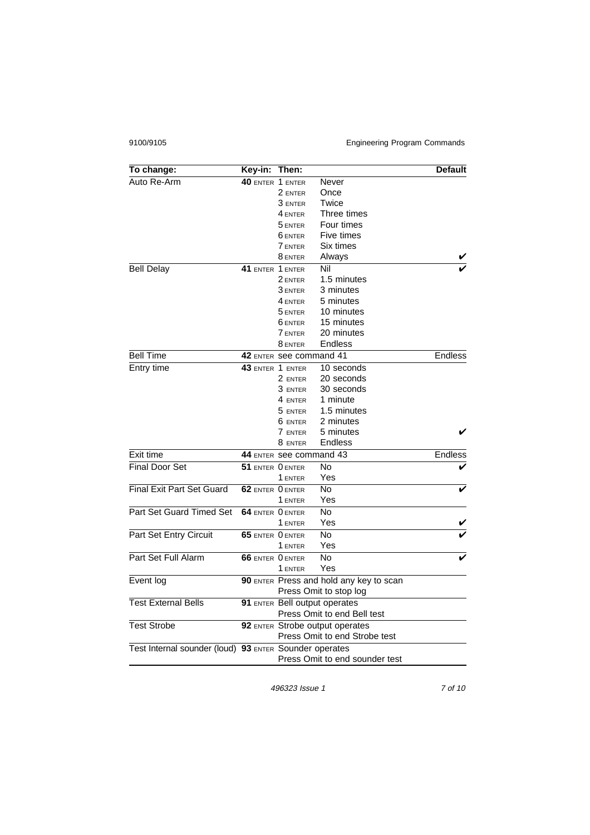#### 9100/9105 Engineering Program Commands

| To change:                                             | Key-in:                 | Then:                           |                                         | <b>Default</b> |
|--------------------------------------------------------|-------------------------|---------------------------------|-----------------------------------------|----------------|
| Auto Re-Arm                                            | 40 ENTER 1 ENTER        |                                 | Never                                   |                |
|                                                        |                         | 2 ENTER                         | Once                                    |                |
|                                                        |                         | 3 ENTER                         | Twice                                   |                |
|                                                        |                         | 4 ENTER                         | Three times                             |                |
|                                                        |                         | 5 ENTER                         | Four times                              |                |
|                                                        |                         | 6 ENTER                         | Five times                              |                |
|                                                        |                         | <b>7 ENTER</b>                  | Six times                               |                |
|                                                        |                         | 8 ENTER                         | Always                                  |                |
| <b>Bell Delay</b>                                      | 41 ENTER 1 ENTER        |                                 | Nil                                     |                |
|                                                        |                         | 2 ENTER                         | 1.5 minutes                             |                |
|                                                        |                         | 3 ENTER                         | 3 minutes                               |                |
|                                                        |                         | 4 ENTER                         | 5 minutes                               |                |
|                                                        |                         | 5 ENTER                         | 10 minutes                              |                |
|                                                        |                         | 6 ENTER                         | 15 minutes                              |                |
|                                                        |                         | <b>7 ENTER</b>                  | 20 minutes                              |                |
|                                                        |                         | 8 ENTER                         | Endless                                 |                |
| <b>Bell Time</b>                                       |                         | 42 ENTER See command 41         |                                         | <b>Endless</b> |
| Entry time                                             | <b>43 ENTER 1 ENTER</b> |                                 | 10 seconds                              |                |
|                                                        |                         | 2 ENTER                         | 20 seconds                              |                |
|                                                        |                         | 3 ENTER                         | 30 seconds                              |                |
|                                                        |                         | 4 ENTER                         | 1 minute                                |                |
|                                                        |                         | 5 ENTER                         | 1.5 minutes                             |                |
|                                                        |                         | 6 ENTER                         | 2 minutes                               |                |
|                                                        |                         | 7 ENTER                         | 5 minutes                               |                |
|                                                        |                         | 8 ENTER                         | Endless                                 |                |
| Exit time                                              |                         | 44 ENTER See command 43         |                                         | <b>Endless</b> |
| <b>Final Door Set</b>                                  | 51 ENTER O ENTER        |                                 | No                                      |                |
|                                                        |                         | 1 ENTER                         | Yes                                     |                |
| <b>Final Exit Part Set Guard</b>                       | 62 ENTER O ENTER        |                                 | <b>No</b>                               |                |
|                                                        |                         | 1 ENTER                         | Yes                                     |                |
| Part Set Guard Timed Set                               | 64 ENTER O ENTER        |                                 | No                                      |                |
|                                                        |                         | 1 ENTER                         | Yes                                     |                |
| Part Set Entry Circuit                                 | 65 ENTER O ENTER        |                                 | No                                      |                |
|                                                        |                         | 1 ENTER                         | Yes                                     |                |
| Part Set Full Alarm                                    | <b>66 ENTER O ENTER</b> |                                 | No                                      |                |
|                                                        |                         | 1 ENTER                         | Yes                                     |                |
| Event log                                              |                         |                                 | 90 ENTER Press and hold any key to scan |                |
|                                                        |                         |                                 | Press Omit to stop log                  |                |
| <b>Test External Bells</b>                             |                         |                                 | 91 ENTER Bell output operates           |                |
|                                                        |                         |                                 | Press Omit to end Bell test             |                |
| <b>Test Strobe</b>                                     |                         | 92 ENTER Strobe output operates |                                         |                |
|                                                        |                         |                                 | Press Omit to end Strobe test           |                |
| Test Internal sounder (loud) 93 ENTER Sounder operates |                         |                                 |                                         |                |
|                                                        |                         |                                 | Press Omit to end sounder test          |                |

496323 Issue 1 7 of 10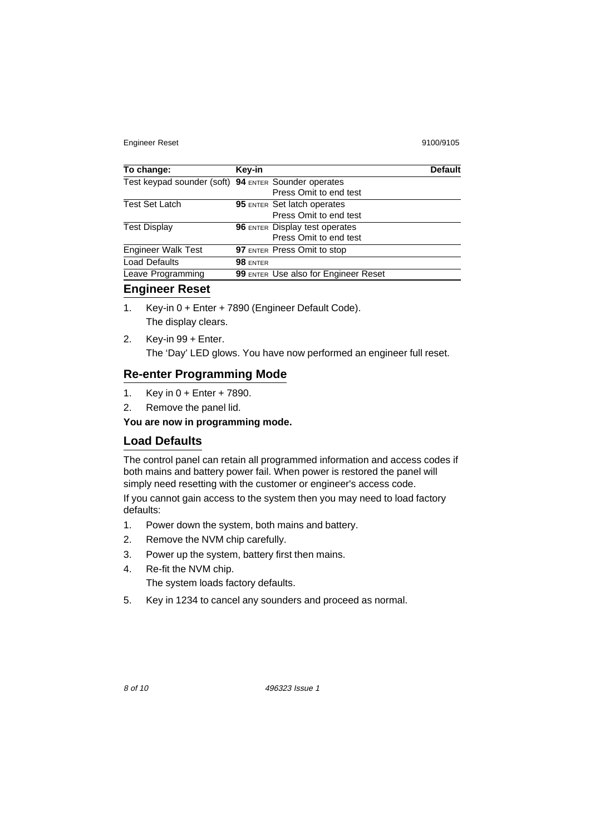Engineer Reset 9100/9105

| To change:                                           | Key-in          |                                       | <b>Default</b> |
|------------------------------------------------------|-----------------|---------------------------------------|----------------|
| Test keypad sounder (soft) 94 ENTER Sounder operates |                 |                                       |                |
|                                                      |                 | Press Omit to end test                |                |
| <b>Test Set Latch</b>                                |                 | <b>95 ENTER Set latch operates</b>    |                |
|                                                      |                 | Press Omit to end test                |                |
| <b>Test Display</b>                                  |                 | <b>96 ENTER Display test operates</b> |                |
|                                                      |                 | Press Omit to end test                |                |
| <b>Engineer Walk Test</b>                            |                 | <b>97 ENTER Press Omit to stop</b>    |                |
| <b>Load Defaults</b>                                 | <b>98 ENTER</b> |                                       |                |
| Leave Programming                                    |                 | 99 ENTER Use also for Engineer Reset  |                |

### **Engineer Reset**

- 1. Key-in 0 + Enter + 7890 (Engineer Default Code). The display clears.
- 2. Key-in 99 + Enter. The 'Day' LED glows. You have now performed an engineer full reset.

#### **Re-enter Programming Mode**

- 1. Key in 0 + Enter + 7890.
- 2. Remove the panel lid.

#### **You are now in programming mode.**

#### **Load Defaults**

The control panel can retain all programmed information and access codes if both mains and battery power fail. When power is restored the panel will simply need resetting with the customer or engineer's access code.

If you cannot gain access to the system then you may need to load factory defaults:

- 1. Power down the system, both mains and battery.
- 2. Remove the NVM chip carefully.
- 3. Power up the system, battery first then mains.
- 4. Re-fit the NVM chip.

The system loads factory defaults.

5. Key in 1234 to cancel any sounders and proceed as normal.

8 of 10 496323 Issue 1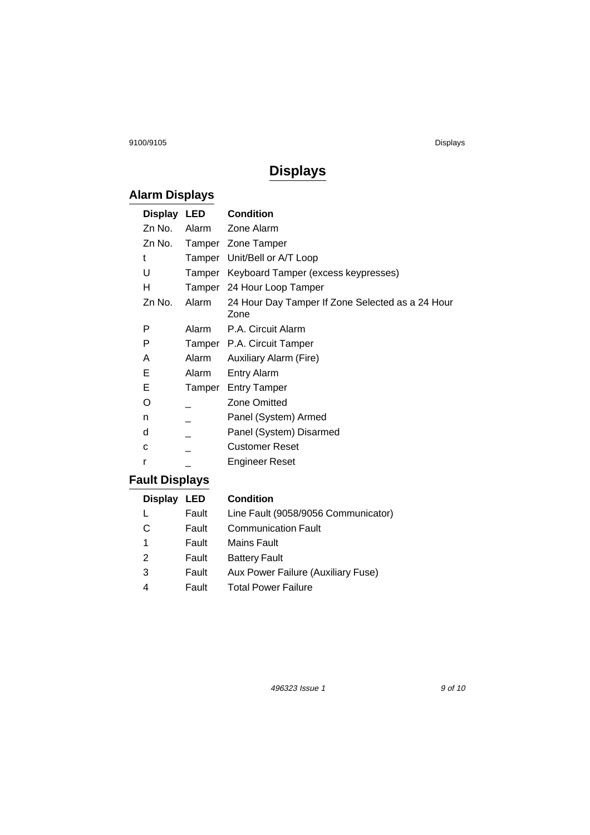9100/9105 Displays

## **Displays**

## **Alarm Displays**

| Display LED |        | <b>Condition</b>                                         |
|-------------|--------|----------------------------------------------------------|
| Zn No.      | Alarm  | Zone Alarm                                               |
| Zn No.      |        | Tamper Zone Tamper                                       |
| t           | Tamper | Unit/Bell or A/T Loop                                    |
| U           |        | Tamper Keyboard Tamper (excess keypresses)               |
| н           |        | Tamper 24 Hour Loop Tamper                               |
| Zn No.      | Alarm  | 24 Hour Day Tamper If Zone Selected as a 24 Hour<br>Zone |
| P           |        | Alarm P.A. Circuit Alarm                                 |
| P           |        | Tamper P.A. Circuit Tamper                               |
| A           | Alarm  | Auxiliary Alarm (Fire)                                   |
| Е           | Alarm  | <b>Entry Alarm</b>                                       |
| Е           |        | Tamper Entry Tamper                                      |
| O           |        | <b>Zone Omitted</b>                                      |
| n           |        | Panel (System) Armed                                     |
| d           |        | Panel (System) Disarmed                                  |
| c           |        | Customer Reset                                           |
| r           |        | Engineer Reset                                           |

## **Fault Displays**

| Display LED |       | <b>Condition</b>                    |
|-------------|-------|-------------------------------------|
|             | Fault | Line Fault (9058/9056 Communicator) |
| C           | Fault | <b>Communication Fault</b>          |
| 1           | Fault | <b>Mains Fault</b>                  |
| 2           | Fault | <b>Battery Fault</b>                |
| 3           | Fault | Aux Power Failure (Auxiliary Fuse)  |
| 4           | Fault | <b>Total Power Failure</b>          |